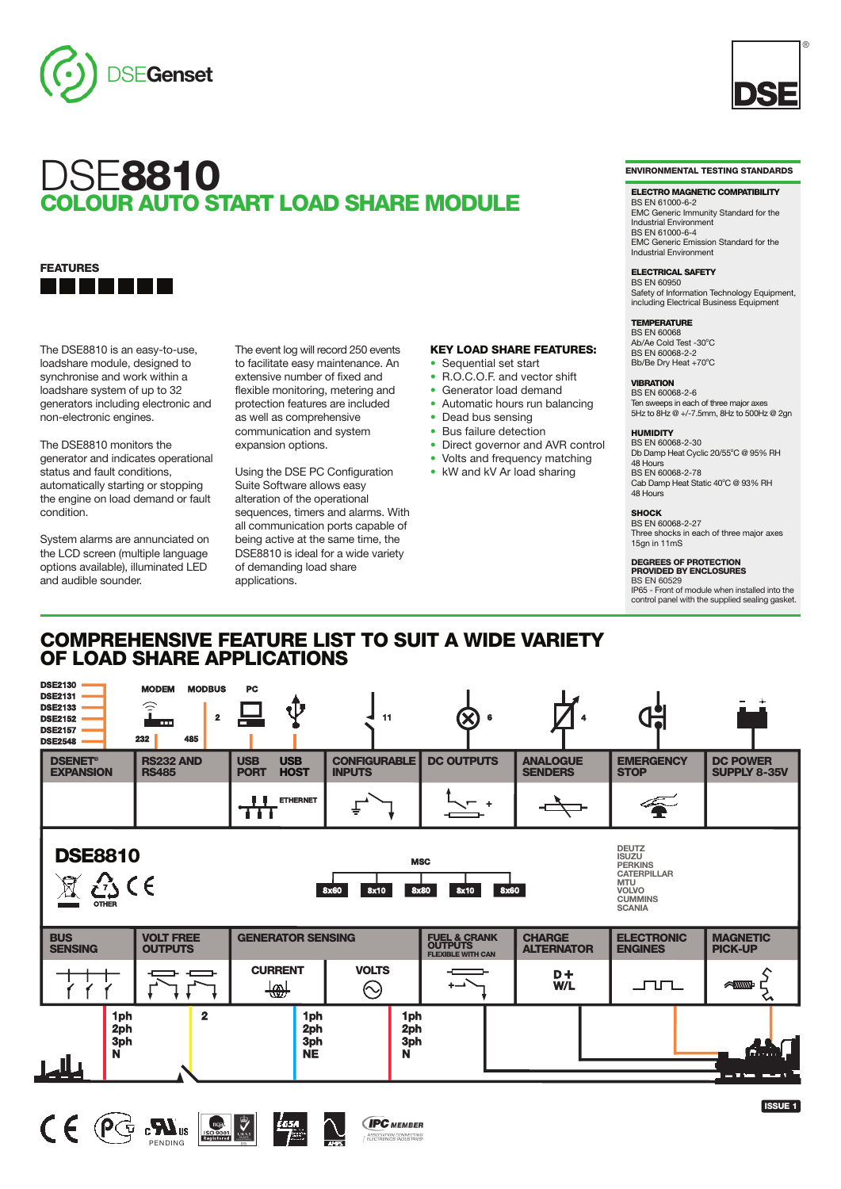



# **FEATURES** <u> 10 Martin 19</u>

The DSE8810 is an easy-to-use, loadshare module, designed to synchronise and work within a loadshare system of up to 32 generators including electronic and non-electronic engines.

The DSE8810 monitors the generator and indicates operational status and fault conditions, automatically starting or stopping the engine on load demand or fault condition.

System alarms are annunciated on the LCD screen (multiple language options available), illuminated LED and audible sounder.

The event log will record 250 events to facilitate easy maintenance. An extensive number of fixed and flexible monitoring, metering and protection features are included as well as comprehensive communication and system expansion options.

Using the DSE PC Configuration Suite Software allows easy alteration of the operational sequences, timers and alarms. With all communication ports capable of being active at the same time, the DSE8810 is ideal for a wide variety of demanding load share applications.

# **KEY LOAD SHARE FEATURES:**

- **•** Sequential set start
- **•** R.O.C.O.F. and vector shift
- **•** Generator load demand
- **•** Automatic hours run balancing
- **•** Dead bus sensing
- **•** Bus failure detection
- **•** Direct governor and AVR control
- **•** Volts and frequency matching
- **•** kW and kV Ar load sharing

#### **ENVIRONMENTAL TESTING STANDARDS**

®

#### **ELECTRO MAGNETIC COMPATIBILITY**

BS EN 61000-6-2 EMC Generic Immunity Standard for the Industrial Environment BS EN 61000-6-4 EMC Generic Emission Standard for the Industrial Environment

**ELECTRICAL SAFETY** BS EN 60950 Safety of Information Technology Equipment,

including Electrical Business Equipment

#### **TEMPERATURE**

**BS EN 60068** Ab/Ae Cold Test -30°C<br>BS EN 60068-2-2 Bb/Be Dry Heat +70°C

# **VIBRATION** BS EN 60068-2-6

Ten sweeps in each of three major axes 5Hz to 8Hz @ +/-7.5mm, 8Hz to 500Hz @ 2gn

#### **HUMIDITY**

BS EN 60068-2-30 Db Damp Heat Cyclic 20/55°C @ 95% RH 48 Hours BS EN 60068-2-78 Cab Damp Heat Static 40°C @ 93% RH 48 Hours

#### **SHOCK**

BS EN 60068-2-27 Three shocks in each of three major axes 15gn in 11mS

# **DEGREES OF PROTECTION PROVIDED BY ENCLOSURES**

BS EN 60529 IP65 - Front of module when installed into the control panel with the supplied sealing gasket.

# **COMPREHENSIVE FEATURE LIST TO SUIT A WIDE VARIETY OF LOAD SHARE APPLICATIONS**

| <b>DSE2130</b><br><b>DSE2131</b><br><b>DSE2133</b><br><b>DSE2152</b><br><b>DSE2157</b><br><b>DSE2548</b>                                                                                                                                      | <b>MODEM</b><br><b>MODBUS</b><br>$\widehat{\mathbf{r}}$<br>$\overline{\mathbf{2}}$<br><b>TOTAL</b><br>232<br>485 | PC                                                     | 11                                   | $\infty$                                                        |                                    |                                     |                                        |
|-----------------------------------------------------------------------------------------------------------------------------------------------------------------------------------------------------------------------------------------------|------------------------------------------------------------------------------------------------------------------|--------------------------------------------------------|--------------------------------------|-----------------------------------------------------------------|------------------------------------|-------------------------------------|----------------------------------------|
| <b>DSENET®</b><br><b>EXPANSION</b>                                                                                                                                                                                                            | <b>RS232 AND</b><br><b>RS485</b>                                                                                 | <b>USB</b><br><b>USB</b><br><b>PORT</b><br><b>HOST</b> | <b>CONFIGURABLE</b><br><b>INPUTS</b> | <b>DC OUTPUTS</b>                                               | <b>ANALOGUE</b><br><b>SENDERS</b>  | <b>EMERGENCY</b><br><b>STOP</b>     | <b>DC POWER</b><br><b>SUPPLY 8-35V</b> |
|                                                                                                                                                                                                                                               |                                                                                                                  | <b>ETHERNET</b><br>TT                                  |                                      |                                                                 |                                    | 全                                   |                                        |
| <b>DEUTZ</b><br><b>DSE8810</b><br><b>ISUZU</b><br><b>MSC</b><br><b>PERKINS</b><br><b>CATERPILLAR</b><br>€ء د∂<br><b>MTU</b><br>8x60<br>8x10<br>8x80<br><b>8x10</b><br>8x60<br><b>VOLVO</b><br><b>CUMMINS</b><br><b>OTHER</b><br><b>SCANIA</b> |                                                                                                                  |                                                        |                                      |                                                                 |                                    |                                     |                                        |
| <b>VOLT FREE</b><br><b>BUS</b><br><b>SENSING</b><br><b>OUTPUTS</b>                                                                                                                                                                            |                                                                                                                  | <b>GENERATOR SENSING</b>                               |                                      | <b>FUEL &amp; CRANK<br/>OUTPUTS</b><br><b>FLEXIBLE WITH CAN</b> | <b>CHARGE</b><br><b>ALTERNATOR</b> | <b>ELECTRONIC</b><br><b>ENGINES</b> | <b>MAGNETIC</b><br><b>PICK-UP</b>      |
|                                                                                                                                                                                                                                               |                                                                                                                  | <b>CURRENT</b><br>की                                   | <b>VOLTS</b><br>$\odot$              |                                                                 | $D +$<br>W/L                       | <u>____</u>                         | <b>ANNIN-</b>                          |
| 1ph<br>2ph<br>3ph<br>N                                                                                                                                                                                                                        | $\mathbf{2}$                                                                                                     | 1ph<br>2ph<br>3ph<br><b>NE</b>                         | 1ph<br>2ph<br>3ph<br>N               |                                                                 |                                    |                                     | $-$ Fig. and $\Gamma$                  |
|                                                                                                                                                                                                                                               |                                                                                                                  |                                                        |                                      |                                                                 |                                    |                                     |                                        |